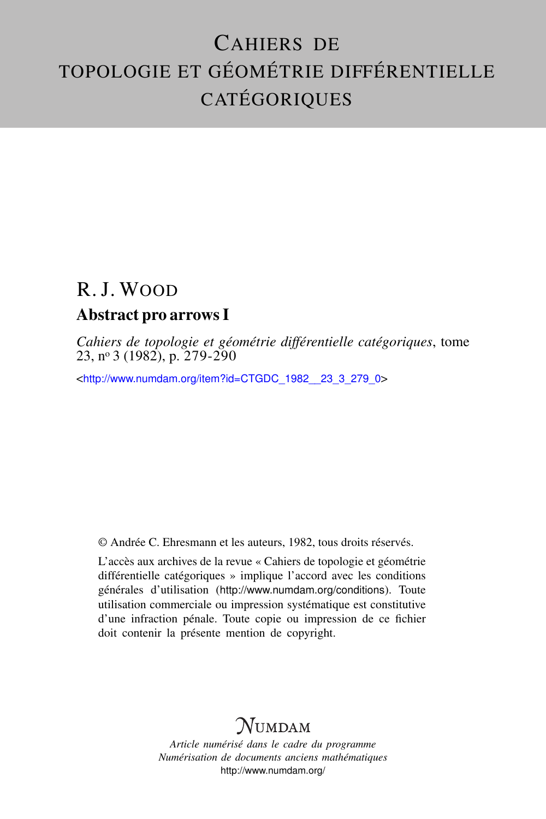## CAHIERS DE TOPOLOGIE ET GÉOMÉTRIE DIFFÉRENTIELLE CATÉGORIQUES

# R. J. WOOD

### Abstract pro arrows I

*Cahiers de topologie et géométrie différentielle catégoriques*, tome 23, n<sup>o</sup> 3 (1982), p. 279-290

<[http://www.numdam.org/item?id=CTGDC\\_1982\\_\\_23\\_3\\_279\\_0](http://www.numdam.org/item?id=CTGDC_1982__23_3_279_0)>

© Andrée C. Ehresmann et les auteurs, 1982, tous droits réservés.

L'accès aux archives de la revue « Cahiers de topologie et géométrie différentielle catégoriques » implique l'accord avec les conditions générales d'utilisation (<http://www.numdam.org/conditions>). Toute utilisation commerciale ou impression systématique est constitutive d'une infraction pénale. Toute copie ou impression de ce fichier doit contenir la présente mention de copyright.

## **NUMDAM**

*Article numérisé dans le cadre du programme Numérisation de documents anciens mathématiques* <http://www.numdam.org/>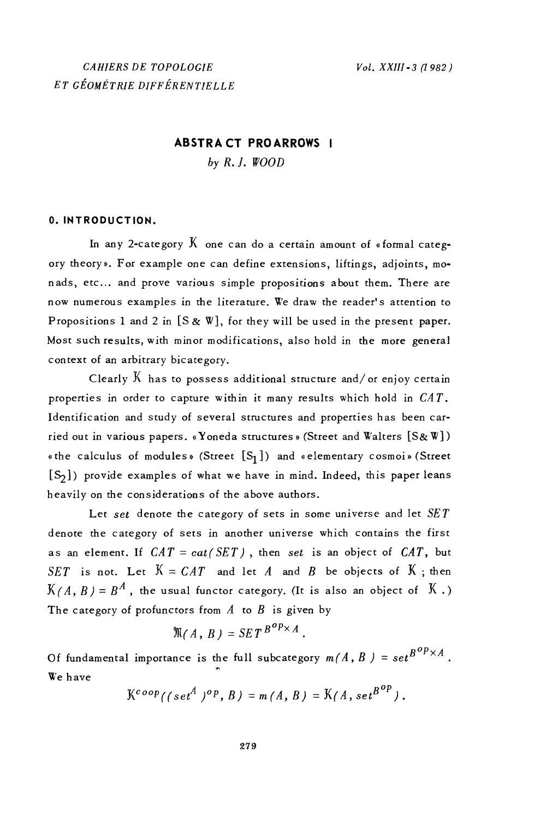### **ABSTRACT PROARROWS I** by  $R. J. WOOD$

#### 0. INTRODUCTION.

In any 2-category  $K$  one can do a certain amount of «formal category theory». For example one can define extensions, liftings, adjoints, monads, etc... and prove various simple propositions about them. There are now numerous examples in the literature. We draw the reader's attention to Propositions 1 and 2 in  $[S \& W]$ , for they will be used in the present paper. Most such results, with minor modifications, also hold in the more general context of an arbitrary bicategory.

Clearly  $K$  has to possess additional structure and/or enjoy certain properties in order to capture within it many results which hold in  $CAT$ . Identification and study of several structures and properties has been carried out in various papers. «Yoneda structures» (Street and Walters [S&W]) «the calculus of modules» (Street  $[S_1]$ ) and «elementary cosmoi» (Street [S<sub>2</sub>]) provide examples of what we have in mind. Indeed, this paper leans heavily on the considerations of the above authors.

Let set denote the category of sets in some universe and let  $SET$ denote the category of sets in another universe which contains the first as an element. If  $CAT = cat(SET)$ , then set is an object of  $CAT$ , but SET is not. Let  $K = CAT$  and let A and B be objects of K; then  $K(A, B) = B^A$ , the usual functor category. (It is also an object of  $K$ .) The category of profunctors from  $A$  to  $B$  is given by

$$
\mathcal{M}(A, B) = SET^{B^{op} \times A}
$$

Of fundamental importance is the full subcategory  $m(A, B) = set^{B^{op} \times A}$ . We have

$$
\mathbf{K}^{coop}((set^A)^{op},B)=m(A,B)=\mathbf{K}(A,set^{B^{op}}).
$$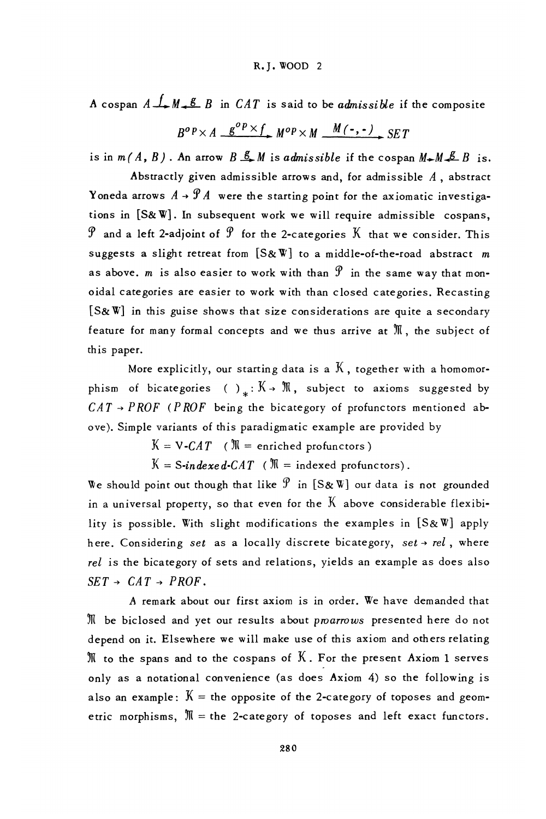A cospan  $A \xrightarrow{f} M \xleftarrow{g} B$  in CAT is said to be *admissible* if the composite

 $R^{\rho}P \times A \quad g^{\rho}P \times f \quad M^{\rho}P \times M \quad M(\text{-},\text{-}) \quad SFT$ 

is in  $m(A, B)$ . An arrow  $B \stackrel{g}{\rightarrow} M$  is admissible if the cospan  $M \rightarrow M \stackrel{g}{\rightarrow} B$  is.

Abstractly given admissible arrows and, for admissible  $A$ , abstract Yoneda arrows  $A \rightarrow \mathcal{P}A$  were the starting point for the axiomatic investigations in [S&W]. In subsequent work we will require admissible cospans,  $\mathcal P$  and a left 2-adjoint of  $\mathcal P$  for the 2-categories  $K$  that we consider. This suggests a slight retreat from  $[S\& W]$  to a middle-of-the-road abstract m as above. m is also easier to work with than  $\mathcal P$  in the same way that monoidal categories are easier to work with than closed categories. Recasting [S&W] in this guise shows that size considerations are quite a secondary feature for many formal concepts and we thus arrive at  $\mathbb M$ , the subject of this paper.

More explicitly, our starting data is a  $K$ , together with a homomorphism of bicategories ()<sub>x</sub>:  $K \rightarrow M$ , subject to axioms suggested by  $CAT \rightarrow PROF$  (PROF being the bicategory of profunctors mentioned above). Simple variants of this paradigmatic example are provided by

 $K = V - CAT$  ( $\mathbb{N}$  = enriched profunctors)

 $K = S\text{-}in\text{desced-}\text{CAT}$  ( $\mathbb{N} = \text{indexed}$  profunctors).

We should point out though that like  $\mathcal P$  in [S&W] our data is not grounded in a universal property, so that even for the  $K$  above considerable flexibility is possible. With slight modifications the examples in [S&W] apply here. Considering set as a locally discrete bicategory, set  $\rightarrow rel$ , where rel is the bicategory of sets and relations, yields an example as does also  $SET \rightarrow CAT \rightarrow PROF$ .

A remark about our first axiom is in order. We have demanded that  ${\mathfrak M}$  be biclosed and yet our results about p $\it{poarrows}$  presented here do not depend on it. Elsewhere we will make use of this axiom and others relating  $M$  to the spans and to the cospans of  $K$ . For the present Axiom 1 serves only as a notational convenience (as does Axiom 4) so the following is also an example:  $K =$  the opposite of the 2-category of toposes and geometric morphisms,  $M =$  the 2-category of toposes and left exact functors.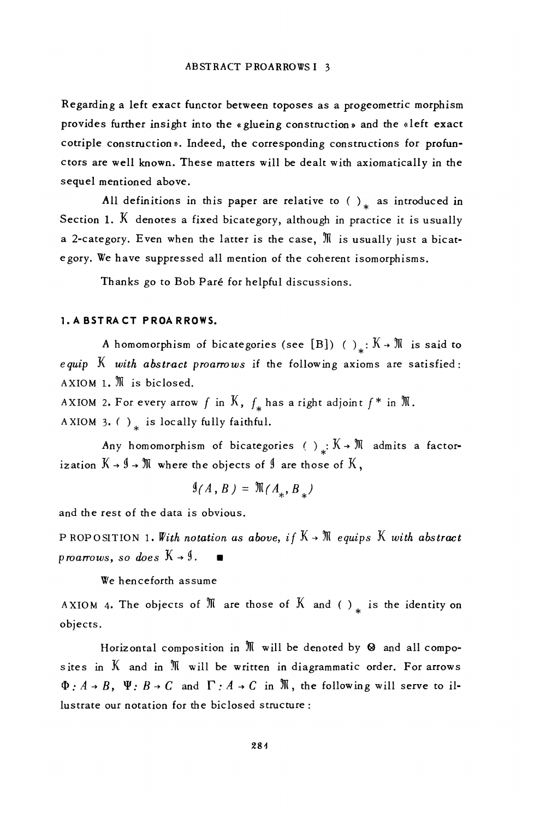Regarding a left exact functor between toposes as a progeometric morphism provides further insight into the «glueing construction» and the «left exact cotriple construction». Indeed, the corresponding constructions for profunctors are well known. These matters will be dealt with axiomatically in the sequel mentioned above.

All definitions in this paper are relative to  $( )_{x}$  as introduced in Section 1.  $\breve{\text{K}}$  denotes a fixed bicategory, although in practice it is usually a 2-category. Even when the latter is the case, M is usually just a bicategory. We have suppressed all mention of the coherent isomorphisms.

Thanks go to Bob Paré for helpful discussions.

#### 1. A BSTRACT PROARROWS.

A homomorphism of bicategories (see [B]) ()<sub>\*</sub>:  $K \rightarrow \mathbb{N}$  is said to equip  $K$  with abstract proarrows if the following axioms are satisfied: AXIOM 1. M is biclosed.

AXIOM 2. For every arrow f in K,  $f_*$  has a right adjoint  $f^*$  in  $\mathfrak M$ . A XIOM 3. () is locally fully faithful.

Any homomorphism of bicategories () :  $K \rightarrow \mathbb{M}$  admits a factorization  $K \rightarrow \emptyset \rightarrow \mathbb{N}$  where the objects of  $\emptyset$  are those of  $K$ ,

$$
9(A, B) = \mathcal{M}(A_{\ast}, B_{\ast})
$$

and the rest of the data is obvious.

PROPOSITION 1. With notation as above, if  $K \rightarrow \mathbb{N}$  equips K with abstract proarrows, so does  $K \rightarrow \mathcal{Y}$ .

We henceforth assume

AXIOM 4. The objects of  $M$  are those of  $K$  and ()<sub>\*</sub> is the identity on objects.

Horizontal composition in  $M$  will be denoted by  $\otimes$  and all composites in  $K$  and in  $\mathbb M$  will be written in diagrammatic order. For arrows  $\Phi: A \rightarrow B$ ,  $\Psi: B \rightarrow C$  and  $\Gamma: A \rightarrow C$  in  $\mathbb{N}$ , the following will serve to illustrate our notation for the biclosed structure: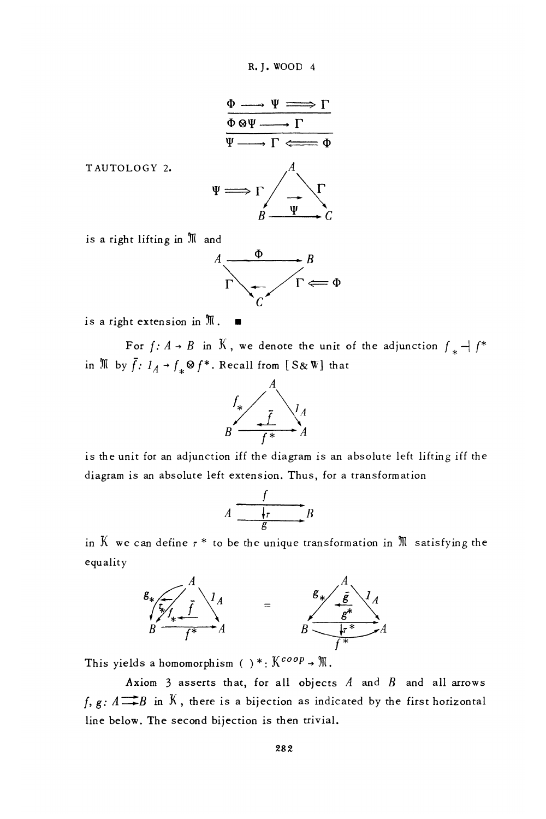R. J. WOOD 4



TAUTOLOGY 2.

is a right lifting in M and



is a right extension in  $\mathbb{M}$ .

For  $f: A \rightarrow B$  in K, we denote the unit of the adjunction  $f_* \rightarrow f^*$ in  $\mathbb N$  by  $\overline{f}$ :  $I_A \rightarrow f_* \otimes f^*$ . Recall from [S& W] that



is the unit for an adjunction iff the diagram is an absolute left lifting iff the diagram is an absolute left extension. Thus, for a transformation

$$
A \xrightarrow{\qquad f \qquad \qquad } B
$$

in  $K$  we can define  $\tau^*$  to be the unique transformation in  $\mathbb M$  satisfying the equality



This yields a homomorphism ()\*:  $K^{coop}$  +  $\mathfrak{M}$ .

Axiom 3 asserts that, for all objects  $A$  and  $B$  and all arrows  $f, g: A \longrightarrow B$  in  $K$ , there is a bijection as indicated by the first horizontal line below. The second bijection is then trivial.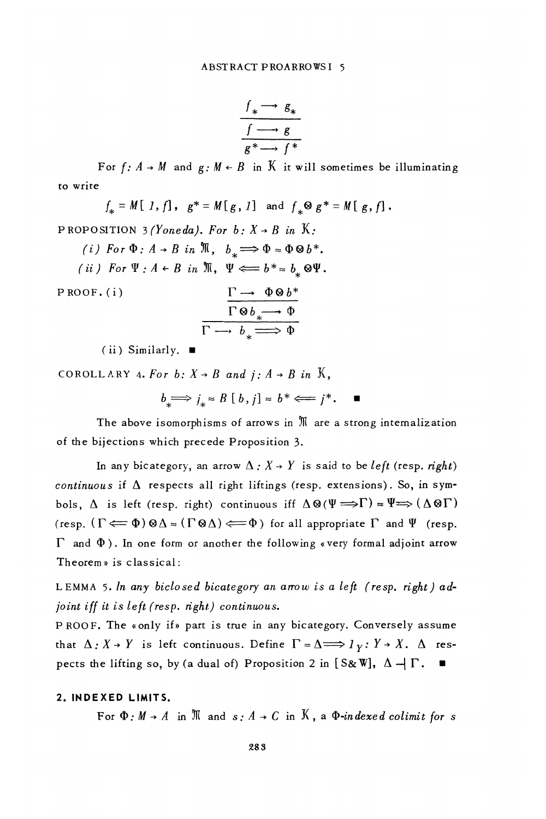$$
\frac{f_* \longrightarrow g_*}{f \longrightarrow g}
$$

$$
\frac{f \longrightarrow g}{g^* \longrightarrow f^*}
$$

For  $f: A \rightarrow M$  and  $g: M \leftarrow B$  in K it will sometimes be illuminating to write

$$
f_* = M[1, f], g^* = M[g, I] \text{ and } f_* \otimes g^* = M[g, f].
$$
  
\nPROPOSITION 3*(Yoneda), For b: X \rightarrow B in X:*  
\n*(i) For*  $\Phi : A \rightarrow B in \mathbb{N}, b_* \Longrightarrow \Phi \approx \Phi \otimes b^*$ .  
\n*(ii) For*  $\Psi : A \leftarrow B in \mathbb{N}, \Psi \Longleftarrow b^* \approx b_* \otimes \Psi$ .  
\nPROOF. (i)  
\n
$$
\frac{\Gamma \rightarrow \Phi \otimes b^*}{\Gamma \otimes b_* \rightarrow \Phi}
$$
  
\n*(ii) Similarly*

(ii) Similarly.

COROLLARY 4. For b:  $X \rightarrow B$  and  $i : A \rightarrow B$  in K,

$$
b \implies j_* \approx B \; [ \; b \; , \; j] \approx b^* \Longleftarrow j^* \, . \quad \blacksquare
$$

The above isomorphisms of arrows in  $M$  are a strong internalization of the bijections which precede Proposition 3.

In any bicategory, an arrow  $\Delta$ :  $X \rightarrow Y$  is said to be *left* (resp. *right*) continuous if  $\Delta$  respects all right liftings (resp. extensions). So, in symbols,  $\Delta$  is left (resp. right) continuous iff  $\Delta \otimes (\Psi \Longrightarrow \Gamma) \approx \Psi \Longrightarrow (\Delta \otimes \Gamma)$ (resp.  $(\Gamma \Longleftarrow \Phi) \otimes \Delta \approx (\Gamma \otimes \Delta) \Longleftarrow \Phi$ ) for all appropriate  $\Gamma$  and  $\Psi$  (resp.  $\Gamma$  and  $\Phi$ ). In one form or another the following «very formal adjoint arrow Theorem» is classical:

LEMMA 5. In any biclosed bicategory an arrow is a left (resp. right) adjoint iff it is left (resp. right) continuous.

PROOF. The «only if» part is true in any bicategory. Conversely assume that  $\Delta: X \rightarrow Y$  is left continuous. Define  $\Gamma = \Delta \Longrightarrow l_y: Y \rightarrow X$ .  $\Delta$  respects the lifting so, by (a dual of) Proposition 2 in [S&W],  $\Delta \rightarrow \Gamma$ .

#### 2. INDEXED LIMITS.

For  $\Phi$ :  $M \rightarrow A$  in  $\mathbb{N}$  and  $s : A \rightarrow C$  in  $K$ , a  $\Phi$ -indexed colimit for s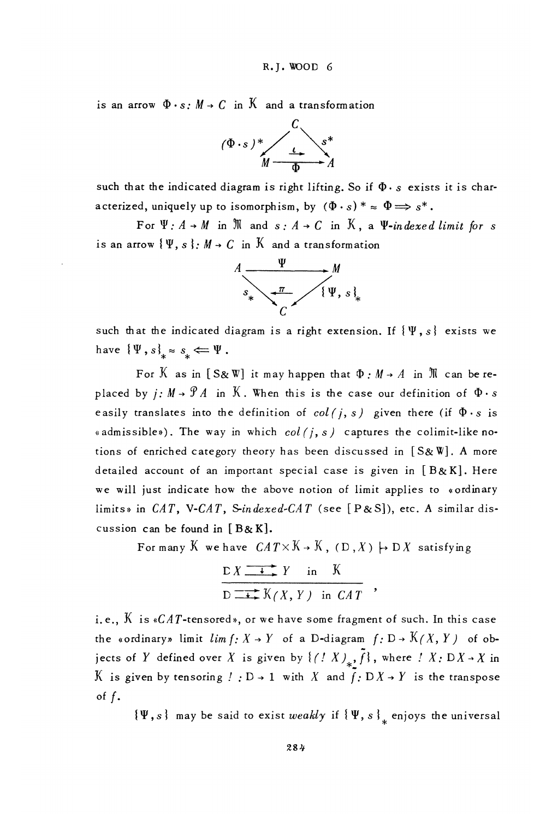is an arrow  $\Phi \cdot s$ :  $M \rightarrow C$  in  $\mathcal{K}$  and a transformation



such that the indicated diagram is right lifting. So if  $\Phi \cdot s$  exists it is characterized, uniquely up to isomorphism, by  $(\Phi \cdot s)^* \approx \Phi \Longrightarrow s^*$ .

For  $\Psi$ :  $A \rightarrow M$  in  $\mathbb N$  and  $s$ :  $A \rightarrow C$  in  $\mathbb K$ , a  $\Psi$ -indexed limit for s is an arrow  $\{\Psi, s\}$ .  $M \to C$  in  $\mathcal K$  and a transformation



such that the indicated diagram is a right extension. If  $\{\Psi, s\}$  exists we have  $\{\Psi, s\}_{*} \approx s_{*} \Leftarrow \Psi$ .

For K as in [S&W] it may happen that  $\Phi : M \rightarrow A$  in  $\mathbb{N}$  can be replaced by  $j: M \rightarrow \mathcal{P}A$  in K. When this is the case our definition of  $\Phi \cdot s$ easily translates into the definition of  $col(j, s)$  given there (if  $\Phi \cdot s$  is «admissible»). The way in which  $col(i, s)$  captures the colimit-like notions of enriched category theory has been discussed in [S&W]. A more detailed account of an important special case is given in  $[B \& K]$ . Here we will just indicate how the above notion of limit applies to «ordinary limits» in  $CAT$ , V-CAT, S-indexed-CAT (see [P&S]), etc. A similar discussion can be found in  $[B & K]$ .

For many K we have  $CAT \times K \rightarrow K$ ,  $(D,X) \mapsto DX$  satisfying

$$
\frac{X \longrightarrow Y \text{ in } K}{D \longrightarrow X \times (X, Y) \text{ in } CAT}
$$

i.e.,  $K$  is  $*CAT$ -tensored», or we have some fragment of such. In this case the «ordinary» limit  $\lim f: X \to Y$  of a D-diagram  $f: D \to K(X, Y)$  of objects of Y defined over X is given by  $\{(\xi^T X)_{\ast}, \overline{f}\}$ , where  $\xi^T X : DX \to X$  in K is given by tensoring  $! : D \rightarrow 1$  with X and  $f: D X \rightarrow Y$  is the transpose of  $f$ .

 $\{\Psi, s\}$  may be said to exist weakly if  $\{\Psi, s\}$  enjoys the universal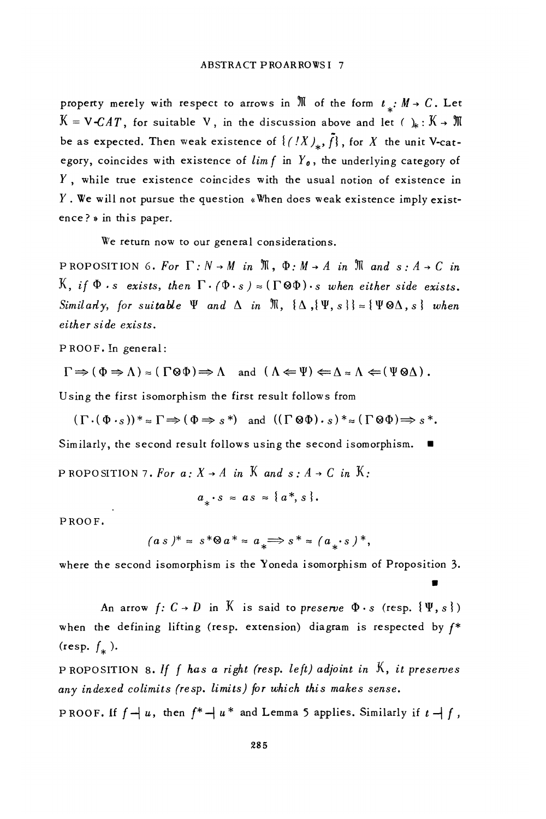property merely with respect to arrows in  $\mathbb M$  of the form  $t_* : M \to C$ . Let  $K = V - CAT$ , for suitable V, in the discussion above and let ( ) :  $K \rightarrow \mathbb{R}$ be as expected. Then weak existence of  $\{(IX)_n, \tilde{f}\}$ , for X the unit V-category, coincides with existence of  $\lim f$  in  $Y_0$ , the underlying category of  $Y$ , while true existence coincides with the usual notion of existence in  $Y$ . We will not pursue the question «When does weak existence imply existence? » in this paper.

We return now to our general considerations.

PROPOSITION 6. For  $\Gamma: N \to M$  in  $\mathfrak{M}$ ,  $\Phi: M \to A$  in  $\mathfrak{M}$  and  $s: A \to C$  in K, if  $\Phi$  is exists, then  $\Gamma \cdot (\Phi \cdot s) \approx (\Gamma \otimes \Phi) \cdot s$  when either side exists. Similarly, for suitable  $\Psi$  and  $\Delta$  in  $\mathfrak{M}, \{\Delta, \{\Psi, s\}\}\approx {\{\Psi \otimes \Delta, s\}}$  when either side exists.

PROOF. In general:

 $\Gamma \Rightarrow (\Phi \Rightarrow \Lambda) \approx (\Gamma \otimes \Phi) \Rightarrow \Lambda$  and  $(\Lambda \Leftarrow \Psi) \Leftarrow \Lambda \approx \Lambda \Leftarrow (\Psi \otimes \Lambda)$ .

Using the first isomorphism the first result follows from

 $(\Gamma \cdot (\Phi \cdot s))^* \approx \Gamma \Rightarrow (\Phi \Rightarrow s^*)$  and  $((\Gamma \otimes \Phi) \cdot s)^* \approx (\Gamma \otimes \Phi) \Rightarrow s^*$ .

Similarly, the second result follows using the second isomorphism.  $\blacksquare$ 

PROPOSITION 7. For  $a: X \rightarrow A$  in  $K$  and  $s: A \rightarrow C$  in  $K$ .

$$
a_{*} \cdot s = a s = \{a^{*}, s\}.
$$

PROOF.

$$
(a s)* \approx s*@a* \approx a_* \Longrightarrow s* \approx (a_* \cdot s)*
$$

where the second isomorphism is the Yoneda isomorphism of Proposition 3.

An arrow  $f: C \rightarrow D$  in K is said to preserve  $\Phi \cdot s$  (resp.  $\{\Psi, s\}$ ) when the defining lifting (resp. extension) diagram is respected by  $f^*$ (resp.  $f_*$ ). PROPOSITION 8. If  $f$  has a right (resp. left) adjoint in  $K$ , it preserves any indexed colimits (resp. limits) for which this makes sense.

PROOF. If  $f - |u|$ , then  $f^* - |u^*|$  and Lemma 5 applies. Similarly if  $t - |f|$ ,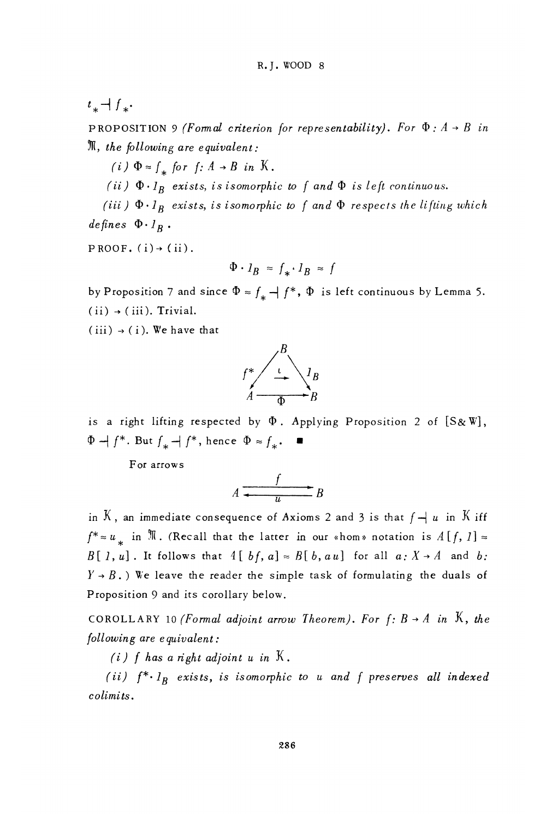$t_{*}$  +  $f_{*}$ .

PROPOSITION 9 (Formal criterion for representability). For  $\Phi: A \rightarrow B$  in  $\mathfrak{M}$ , the following are equivalent:

(i)  $\Phi \approx f_*$  for  $f: A \rightarrow B$  in K.

(ii)  $\Phi \cdot l_B$  exists, is isomorphic to f and  $\Phi$  is left continuous.

(iii)  $\Phi \cdot l_B$  exists, is isomorphic to f and  $\Phi$  respects the lifting which defines  $\Phi \cdot l_R$ .

 $PROOF. (i) \rightarrow (ii).$ 

$$
\Phi \cdot I_B \approx f_* \cdot I_B \approx f
$$

by Proposition 7 and since  $\Phi \approx f_* \to f^*$ ,  $\Phi$  is left continuous by Lemma 5.  $(ii) \rightarrow (iii)$ . Trivial.

 $(iii) \rightarrow (i)$ . We have that



is a right lifting respected by  $\Phi$ . Applying Proposition 2 of  $[S\&W],$  $\Phi$  +  $f^*$ . But  $f_*$  +  $f^*$ , hence  $\Phi \approx f_*$ .

For arrows

$$
A \xrightarrow{f} B
$$

in K, an immediate consequence of Axioms 2 and 3 is that  $f \rightarrow u$  in K iff  $f^* \approx u$  in  $\mathbb{N}$ . (Recall that the latter in our «hom» notation is  $A[f, 1] \approx$  $B[1, u]$ . It follows that  $A[bf, a] \approx B[b, a u]$  for all  $a: X \rightarrow A$  and b:  $Y \rightarrow B$ .) We leave the reader the simple task of formulating the duals of Proposition 9 and its corollary below.

COROLLARY 10 (Formal adjoint arrow Theorem). For  $f: B \rightarrow A$  in  $K$ , the following are equivalent:

(i) f has a right adjoint u in  $K$ .

(ii)  $f^* \cdot l_B$  exists, is isomorphic to u and f preserves all indexed colimits.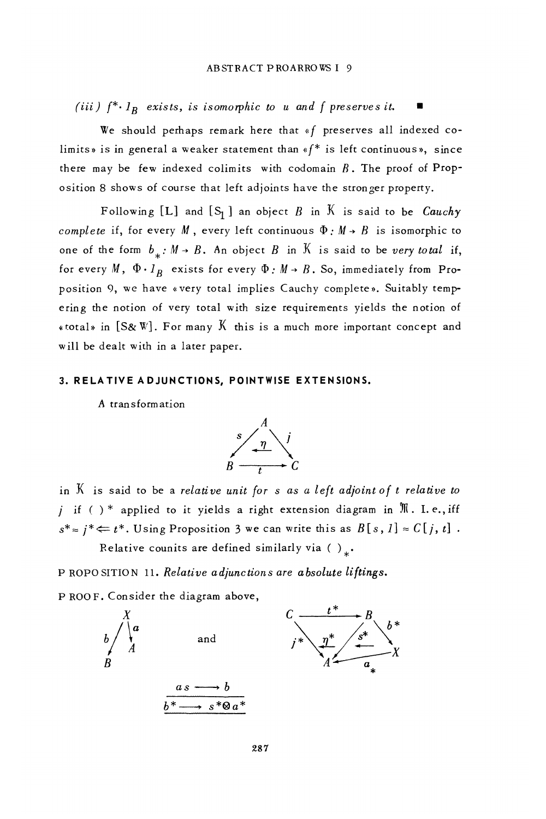(iii)  $f^* \cdot l_R$  exists, is isomorphic to u and f preserves it.

We should perhaps remark here that «f preserves all indexed colimits» is in general a weaker statement than  $*f*$  is left continuous», since there may be few indexed colimits with codomain  $B$ . The proof of Proposition 8 shows of course that left adjoints have the stronger property.

Following [L] and  $[S_1]$  an object B in K is said to be *Cauchy* complete if, for every M, every left continuous  $\Phi : M \rightarrow B$  is isomorphic to one of the form  $b_{\perp} : M \rightarrow B$ . An object B in K is said to be very total if, for every M,  $\Phi \cdot I_R$  exists for every  $\Phi : M \rightarrow B$ . So, immediately from Proposition 9, we have «very total implies Cauchy complete». Suitably tempering the notion of very total with size requirements yields the notion of «total» in  $[S\&W]$ . For many  $\overline{K}$  this is a much more important concept and will be dealt with in a later paper.

#### 3. RELATIVE ADJUNCTIONS, POINTWISE EXTENSIONS.

A transformation



in  $K$  is said to be a relative unit for s as a left adjoint of t relative to *j* if ( )\* applied to it yields a right extension diagram in  $\mathbb{N}$ . I.e., iff  $s^* \approx j^* \Leftarrow t^*$ . Using Proposition 3 we can write this as  $B[s, 1] \approx C[j, t]$ . Relative counits are defined similarly via ().

P ROPO SITION 11. Relative adjunctions are absolute liftings.

P ROOF. Consider the diagram above,

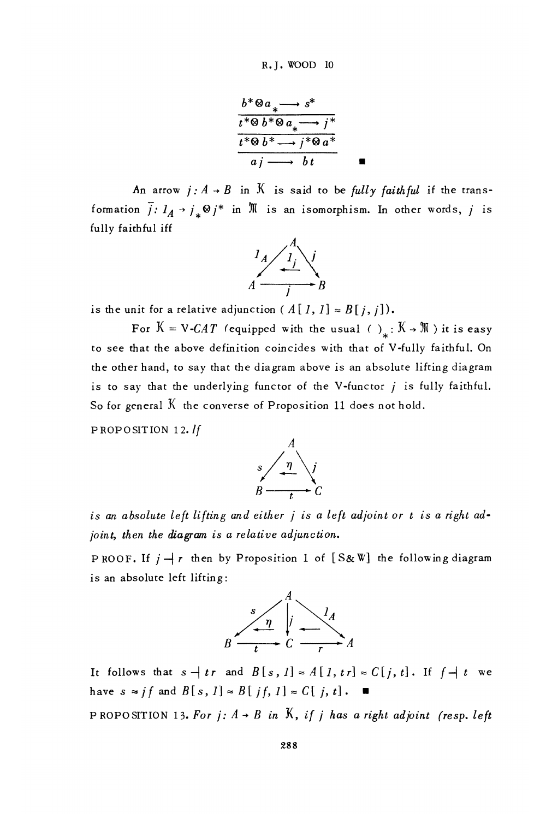$$
\frac{b^* \otimes a_* \longrightarrow s^*}{t^* \otimes b^* \otimes a_* \longrightarrow j^*}
$$
\n
$$
\frac{t^* \otimes b^* \longrightarrow j^* \otimes a^*}{a j \longrightarrow b t}
$$

An arrow  $j: A \rightarrow B$  in K is said to be fully faithful if the transformation  $\overline{j}: l_A \rightarrow j_* \otimes j^*$  in  $\overline{\mathbb{N}}$  is an isomorphism. In other words, j is fully faithful iff



is the unit for a relative adjunction (A[1, 1]  $\approx B[j, j]$ ).

For  $K = V - CAT$  (equipped with the usual ()<sub>x</sub>:  $K \rightarrow M$ ) it is easy to see that the above definition coincides with that of V-fully faithful. On the other hand, to say that the diagram above is an absolute lifting diagram is to say that the underlying functor of the V-functor  $j$  is fully faithful. So for general  $K$  the converse of Proposition 11 does not hold.

PROPOSITION 12. If



is an absolute left lifting and either j is a left adjoint or t is a right adjoint, then the diagram is a relative adjunction.

PROOF. If  $j \rightarrow r$  then by Proposition 1 of [S&W] the following diagram is an absolute left lifting:



It follows that  $s \to tr$  and  $B[s, 1] \approx A[1, tr] \approx C[j, t]$ . If  $f \to t$  we have  $s \approx j f$  and  $B[s, 1] \approx B[jf, 1] \approx C[j, t]$ .

PROPOSITION 13. For j:  $A \rightarrow B$  in K, if j has a right adjoint (resp. left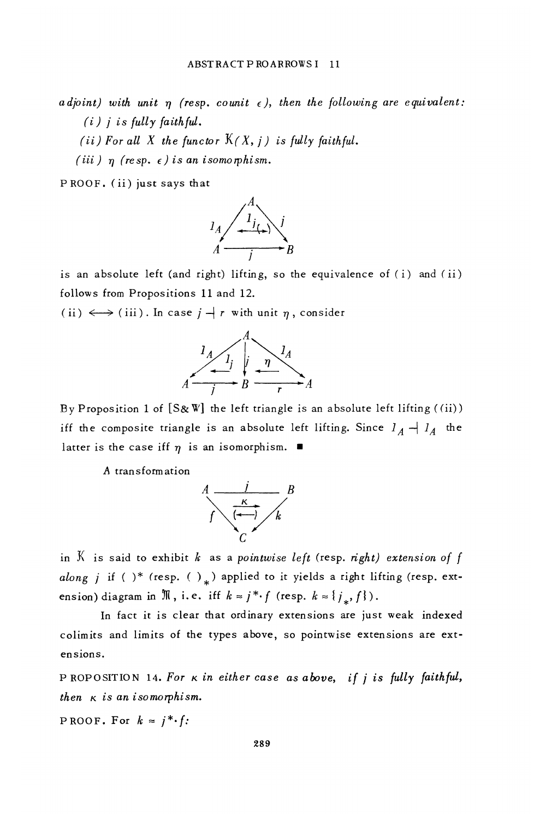adjoint) with unit  $\eta$  (resp. counit  $\epsilon$ ), then the following are equivalent:  $(i)$  j is fully faithful.

(ii) For all X the functor  $K(X, j)$  is fully faithful.

(iii)  $\eta$  (resp.  $\epsilon$ ) is an isomorphism.

PROOF. (ii) just says that



is an absolute left (and right) lifting, so the equivalence of (i) and (ii) follows from Propositions 11 and 12.

(ii)  $\longleftrightarrow$  (iii). In case  $j \rightarrow r$  with unit  $\eta$ , consider



By Proposition 1 of  $[S\&\mathbb{W}]$  the left triangle is an absolute left lifting ((ii)) iff the composite triangle is an absolute left lifting. Since  $I_A \rightarrow I_A$  the latter is the case iff  $\eta$  is an isomorphism.  $\blacksquare$ 

A transformation



in  $K$  is said to exhibit  $k$  as a pointwise left (resp. right) extension of f along j if ( )\* (resp. ( ) ) applied to it yields a right lifting (resp. extension) diagram in  $\mathbb N$ , i.e. iff  $k \approx j^* \cdot f$  (resp.  $k \approx \{j_*, f\}$ ).

In fact it is clear that ordinary extensions are just weak indexed colimits and limits of the types above, so pointwise extensions are extensions.

PROPOSITION 14. For  $\kappa$  in either case as above, if j is fully faithful, then  $\kappa$  is an isomorphism.

PROOF. For  $k \approx j^* \cdot f$ :